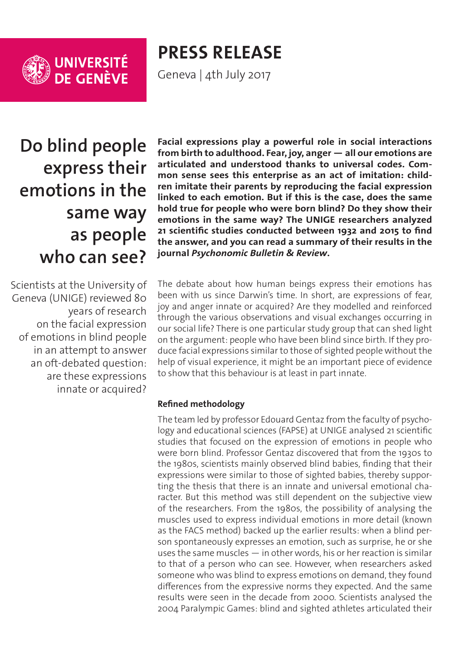

**PRESS RELEASE**

Geneva | 4th July 2017

**Do blind people express their emotions in the same way as people who can see?**

Scientists at the University of Geneva (UNIGE) reviewed 80 years of research on the facial expression of emotions in blind people in an attempt to answer an oft-debated question: are these expressions innate or acquired?

**Facial expressions play a powerful role in social interactions from birth to adulthood. Fear, joy, anger — all our emotions are articulated and understood thanks to universal codes. Common sense sees this enterprise as an act of imitation: children imitate their parents by reproducing the facial expression linked to each emotion. But if this is the case, does the same hold true for people who were born blind? Do they show their emotions in the same way? The UNIGE researchers analyzed 21 scientific studies conducted between 1932 and 2015 to find the answer, and you can read a summary of their results in the journal** *Psychonomic Bulletin & Review***.**

The debate about how human beings express their emotions has been with us since Darwin's time. In short, are expressions of fear, joy and anger innate or acquired? Are they modelled and reinforced through the various observations and visual exchanges occurring in our social life? There is one particular study group that can shed light on the argument: people who have been blind since birth. If they produce facial expressions similar to those of sighted people without the help of visual experience, it might be an important piece of evidence to show that this behaviour is at least in part innate.

## **Refined methodology**

The team led by professor Edouard Gentaz from the faculty of psychology and educational sciences (FAPSE) at UNIGE analysed 21 scientific studies that focused on the expression of emotions in people who were born blind. Professor Gentaz discovered that from the 1930s to the 1980s, scientists mainly observed blind babies, finding that their expressions were similar to those of sighted babies, thereby supporting the thesis that there is an innate and universal emotional character. But this method was still dependent on the subjective view of the researchers. From the 1980s, the possibility of analysing the muscles used to express individual emotions in more detail (known as the FACS method) backed up the earlier results: when a blind person spontaneously expresses an emotion, such as surprise, he or she uses the same muscles — in other words, his or her reaction is similar to that of a person who can see. However, when researchers asked someone who was blind to express emotions on demand, they found differences from the expressive norms they expected. And the same results were seen in the decade from 2000. Scientists analysed the 2004 Paralympic Games: blind and sighted athletes articulated their